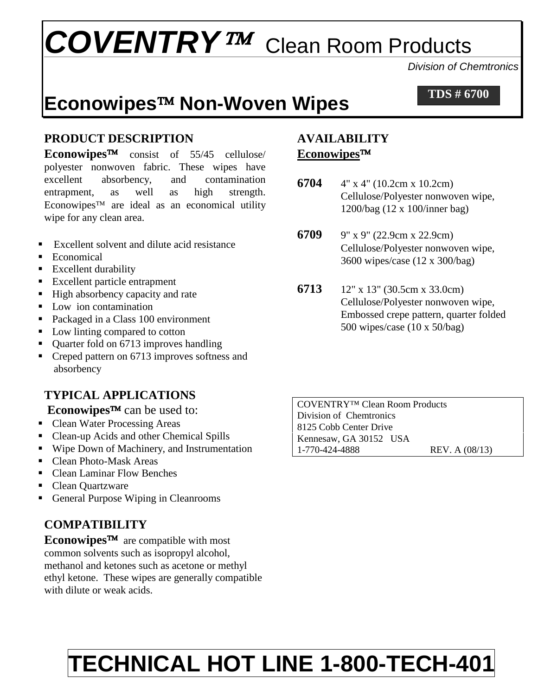# *COVENTRY* Clean Room Products

*Division of Chemtronics* 

### **Econowipes Non-Woven Wipes**

**TDS # 6700**

#### **PRODUCT DESCRIPTION**

**Econowipes™** consist of 55/45 cellulose/ polyester nonwoven fabric. These wipes have excellent absorbency, and contamination entrapment, as well as high strength. Econowipes<sup> $TM$ </sup> are ideal as an economical utility wipe for any clean area.

- Excellent solvent and dilute acid resistance
- **Economical**
- **Excellent durability**
- Excellent particle entrapment
- High absorbency capacity and rate
- **Low** ion contamination
- Packaged in a Class 100 environment
- Low linting compared to cotton
- Quarter fold on 6713 improves handling
- Creped pattern on 6713 improves softness and absorbency

#### **TYPICAL APPLICATIONS**

#### **Econowipes<sup>™</sup> can be used to:**

- Clean Water Processing Areas
- Clean-up Acids and other Chemical Spills
- Wipe Down of Machinery, and Instrumentation
- Clean Photo-Mask Areas
- Clean Laminar Flow Benches
- Clean Quartzware
- General Purpose Wiping in Cleanrooms

#### **COMPATIBILITY**

**Econowipes<sup>TM</sup>** are compatible with most common solvents such as isopropyl alcohol, methanol and ketones such as acetone or methyl ethyl ketone. These wipes are generally compatible with dilute or weak acids.

#### **AVAILABILITY Econowipes**

- **6704** 4" x 4" (10.2cm x 10.2cm) Cellulose/Polyester nonwoven wipe, 1200/bag (12 x 100/inner bag)
- **6709** 9" x 9" (22.9cm x 22.9cm) Cellulose/Polyester nonwoven wipe, 3600 wipes/case (12 x 300/bag)
- **6713** 12" x 13" (30.5cm x 33.0cm) Cellulose/Polyester nonwoven wipe, Embossed crepe pattern, quarter folded 500 wipes/case (10 x 50/bag)

COVENTRY™ Clean Room Products Division of Chemtronics 8125 Cobb Center Drive Kennesaw, GA 30152 USA 1-770-424-4888 REV. A (08/13)

## **TECHNICAL HOT LINE 1-800-TECH-401**